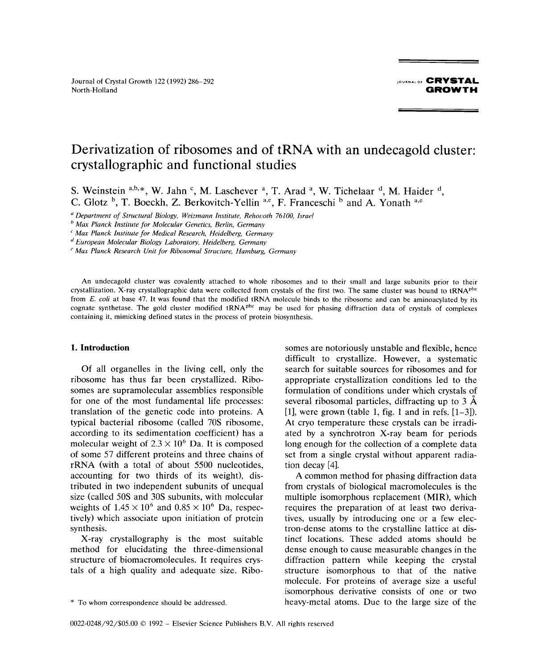Journal of Crystal Growth <sup>122</sup> (1992) 286—292 **<sup>j</sup>** o, **CRYSTAL** North-Holland **GROWTH** 

## Derivatization of ribosomes and of tRNA with an undecagold cluster: crystallographic and functional studies

S. Weinstein  $a,b,*$ , W. Jahn  $c$ , M. Laschever  $a$ , T. Arad  $a$ , W. Tichelaar  $d$ , M. Haider  $d$ , C. Glotz  $\frac{b}{c}$ , T. Boeckh, Z. Berkovitch-Yellin a,e, F. Franceschi  $\frac{b}{c}$  and A. Yonath a,e

Department of Structural Biology, *Weizmann Institute,* Rehovoth 76100, Israel

<sup>6</sup> Max Planck Institute for Molecular Genetics, Berlin, Germany

 $<sup>c</sup>$  Max Planck Institute for Medical Research, Heidelberg, Germany</sup>

d European Molecular Biology Laboratory, Heidelberg, Germany

"Max Planck Research Unit for Ribosomal Structure, Hamburg, Germany

An undecagold cluster was covalently attached to whole ribosomes and to their small and large subunits prior to their crystallization. X-ray crystallographic data were collected from crystals of the first two. The same cluster was bound to tRNA<sup>phe</sup> from *E. coli* at base 47. It was found that the modified tRNA molecule binds to the ribosome and can be aminoacylated by its cognate synthetase. The gold cluster modified tRNA<sup>phe</sup> may be used for phasing diffraction data of crystals of complexes containing it, mimicking defined states in the process of protein biosynthesis.

ribosome has thus far been crystallized. Ribo- appropriate crystallization conditions led to the somes are supramolecular assemblies responsible formulation of conditions under which crystals of for one of the most fundamental life processes: several ribosomal particles, diffracting up to  $3 \text{ Å}$ translation of the genetic code into proteins. A [1], were grown (table 1, fig. 1 and in refs.  $[1-3]$ ). typical bacterial ribosome (called 70S ribosome, At cryo temperature these crystals can be irradiaccording to its sedimentation coefficient) has a ated by a synchrotron X-ray beam for periods molecular weight of  $2.3 \times 10^6$  Da. It is composed long enough for the collection of a complete data of some 57 different proteins and three chains of set from a single crystal without apparent radiarRNA (with a total of about 5500 nucleotides, tion decay [4]. accounting for two thirds of its weight), dis- A common method for phasing diffraction data tributed in two independent subunits of unequal from crystals of biological macromolecules is the size (called *50S* and 30S subunits, with molecular multiple isomorphous replacement (MIR), which weights of  $1.45 \times 10^{6}$  and  $0.85 \times 10^{6}$  Da, respec- requires the preparation of at least two derivatively) which associate upon initiation of protein tives, usually by introducing one or a few elecsynthesis. tron-dense atoms to the crystalline lattice at dis-

method for elucidating the three-dimensional dense enough to cause measurable changes in the structure of biomacromolecules. It requires crys- diffraction pattern while keeping the crystal tals of a high quality and adequate size. Ribo- structure isomorphous to that of the native

**1.** Introduction somes are notoriously unstable and flexible, hence difficult to crystallize. However, a systematic Of all organelles in the living cell, only the search for suitable sources for ribosomes and for

X-ray crystallography is the most suitable tinct locations. These added atoms should be molecule. For proteins of average size a useful isomorphous derivative consists of one or two \* To whom correspondence should be addressed, heavy-metal atoms. Due to the large size of the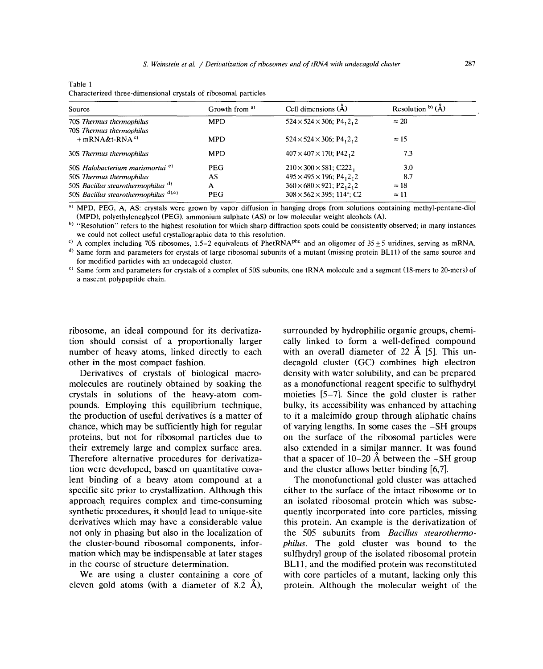|--|--|

Characterized three-dimensional crystals of ribosomal particles

| Source                                                   | Growth from <sup>a)</sup> | Cell dimensions (A)                                            | Resolution $b$ <sup>(<math>\AA</math>)</sup> |
|----------------------------------------------------------|---------------------------|----------------------------------------------------------------|----------------------------------------------|
| 70S Thermus thermophilus                                 | <b>MPD</b>                | $524 \times 524 \times 306$ ; P4, 2, 2                         | $\approx 20$                                 |
| 70S Thermus thermophilus<br>$+$ mRNA&t-RNA <sup>c)</sup> | <b>MPD</b>                | $524 \times 524 \times 306$ ; P4, 2, 2                         | $\approx 15$                                 |
| 30S Thermus thermophilus                                 | <b>MPD</b>                | $407 \times 407 \times 170$ ; P42, 2                           | 7.3                                          |
| 50S Halobacterium marismortui <sup>e)</sup>              | <b>PEG</b>                | $210 \times 300 \times 581$ ; C222,                            | 3.0                                          |
| 50S Thermus thermophilus                                 | AS                        | $495 \times 495 \times 196$ ; P4, 2, 2                         | 8.7                                          |
| 50S Bacillus stearothermophilus d)                       | A                         | $360 \times 680 \times 921$ ; P2 <sub>1</sub> 2 <sub>1</sub> 2 | $\approx 18$                                 |
| 50S Bacillus stearothermophilus $d(x)$ , $e(x)$          | PEG                       | $308 \times 562 \times 395$ ; 114°; C2                         | $\approx$ 11                                 |

<sup>a)</sup> MPD, PEG, A, AS: crystals were grown by vapor diffusion in hanging drops from solutions containing methyl-pentane-diol (MPD), polyethyleneglycol (PEG), ammonium sulphate (AS) or low molecular weight alcohols (A).

<sup>b)</sup> "Resolution" refers to the highest resolution for which sharp diffraction spots could be consistently observed; in many instances

we could not collect useful crystallographic data to this resolution.<br><sup>c)</sup> A complex including 70S ribosomes, 1.5–2 equivalents of PhetRNA<sup>phe</sup> and an oligomer of 35±5 uridines, serving as mRNA.

<sup>d)</sup> Same form and parameters for crystals of large ribosomal subunits of a mutant (missing protein BL11) of the same source and for modified particles with an undecasold cluster.

for modified particles with an undecagold cluster. **'~** Same form and parameters for crystals of a complex of 505 subunits, one tRNA molecule and a segment (18-mers to 20-mers) of a nascent polypeptide chain.

tion should consist of a proportionally larger cally linked to form a well-defined compound<br>number of heavy atoms, linked directly to each with an overall diameter of 22  $\AA$  [5]. This unnumber of heavy atoms, linked directly to each other in the most compact fashion.

molecules are routinely obtained by soaking the crystals in solutions of the heavy-atom comcrystals in solutions of the heavy-atom com-<br>position moieties  $[5-7]$ . Since the gold cluster is rather<br>pounds. Employing this equilibrium technique, bulky, its accessibility was enhanced by attaching pounds. Employing this equilibrium technique, bulky, its accessibility was enhanced by attaching the production of useful derivatives is a matter of to it a malelimido group through aliphatic chains the production of useful derivatives is a matter of to it a maleimido group through aliphatic chains chance, which may be sufficiently high for regular of varying lengths. In some cases the -SH groups proteins, but not for ribosomal particles due to on the surface of the ribosomal particles were their extremely large and complex surface area. also extended in a similar manner. It was found their extremely large and complex surface area.<br>Therefore alternative procedures for derivatization were developed, based on quantitative cova-<br>lent binding of a heavy atom compound at a The monofunctional gold cluster was attached lent binding of a heavy atom compound at a specific site prior to crystallization. Although this specific site prior to crystallization. Although this either to the surface of the intact ribosome or to approach requires complex and time-consuming an isolated ribosomal protein which was subseapproach requires complex and time-consuming an isolated ribosomal protein which was subse-<br>synthetic procedures, it should lead to unique-site quently incorporated into core particles, missing synthetic procedures, it should lead to unique-site quently incorporated into core particles, missing derivatives which may have a considerable value this protein. An example is the derivatization of derivatives which may have a considerable value this protein. An example is the derivatization of not only in phasing but also in the localization of the 505 subunits from *Bacillus stearothermo*not only in phasing but also in the localization of the *505* subunits from *Bacillus stearothermo*-<br>the cluster-bound ribosomal components, infor-<br>*philus*. The gold cluster was bound to the the cluster-bound ribosomal components, infor-<br>mation which may be indispensable at later stages sulflydryl group of the isolated ribosomal protein mation which may be indispensable at later stages sulfhydryl group of the isolated ribosomal protein<br>in the course of structure determination.<br>BL11, and the modified protein was reconstituted

ribosome, an ideal compound for its derivatiza-<br>tion should consist of a proportionally larger cally linked to form a well-defined compound ner in the most compact fashion.<br>
Derivatives of crystals of biological macro-<br>
density with water solubility, and can be prepared density with water solubility, and can be prepared<br>as a monofunctional reagent specific to sulfhydryl of varying lengths. In some cases the –SH groups<br>on the surface of the ribosomal particles were that a spacer of  $10-20$  Å between the  $-SH$  group and the cluster allows better binding [6,7].

the course of structure determination.<br>We are using a cluster containing a core of with core particles of a mutant, lacking only this We are using a cluster containing a core of with core particles of a mutant, lacking only this eleven gold atoms (with a diameter of 8.2  $\AA$ ), protein. Although the molecular weight of the protein. Although the molecular weight of the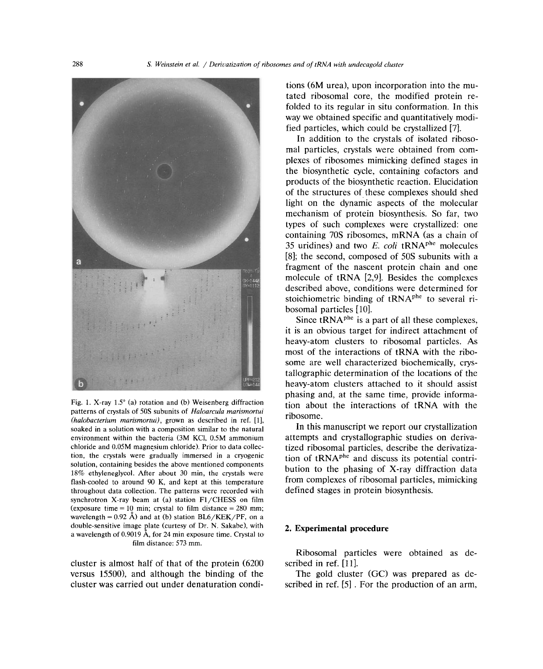

patterns of crystals of  $50S$  subunits of Haloarcula maritimetrical patterns of crystals of 505 subunits of *Haloarcula marismortui*<br>(halobacterium mariamentui), grown as described in ref. **[1] ribOSOMe**. patteris of crystals of 303 subdifficial marismorial process in the natural (halobacterium marismortui), grown as described in ref. [1],<br>soaked in a solution with a composition similar to the natural In this manuscript we environment within the bacteria (3M KCI, 0.5M ammonium attempts and crystallographic studies on deriva-<br>
chloride and 0.05M magnesium chloride). Prior to data collec- tized ribosomal particles, describe the derivatization, the crystals were gradually immersed in a cryogenic solution, containing besides the above mentioned components  $f$ lash-cooled to around 90 K, and kept at this temperature from complexes of ribosomal particles, mimicking flash-cooled to around 90 K, and kept at this temperature from complexes of ribosomal particles,<br>throughout data collection. The patterns were recorded with defined stages in protein biosynthesis.  $\frac{1}{2}$  including and  $\frac{1}{2}$  concerned Figure Fl (c) station Fl (CHESS on film  $\epsilon$  is the time  $\epsilon$  must be the three terms of the  $\epsilon$ (exposure time = 10 min; crystal to film distance =  $280$  mm; wavelength =  $0.92$  Å) and at (b) station BL6/KEK/PF, on a<br>double-sensitive image plate (curtesy of Dr. N. Sakabe), with 2. Experimental procedure double-sensitive image plate (curtesy of Dr. N. Sakabe), with a wavelength of 0.9019 Å, for 24 min exposure time. Crystal to film distance: 573 mm.

cluster is almost nail of that of the protein  $(6200 - 8$  scribed in ref. [11].<br>versus 15500), and although the binding of the The gold cluster (GC) was prepared as deversus 15500), and although the binding of the The gold cluster (GC) was prepared as decluster was carried out under denaturation condi-<br>cluster was carried out under denaturation condi-

tions (6M urea), upon incorporation into the mutated ribosomal core, the modified protein refolded to its regular in situ conformation. In this way we obtained specific and quantitatively modified particles, which could be crystallized [7].

In addition to the crystals of isolated ribosomal particles, crystals were obtained from complexes of ribosomes mimicking defined stages in the biosynthetic cycle, containing cofactors and products of the biosynthetic reaction. Elucidation of the structures of these complexes should shed light on the dynamic aspects of the molecular mechanism of protein biosynthesis. So far, two types of such complexes were crystallized: one containing 70S ribosomes, mRNA (as a chain of 35 uridines) and two  $E$ , *coli* tRNA<sup>phe</sup> molecules [8]; the second, composed of 50S subunits with a fragment of the nascent protein chain and one molecule of  $tRNA$  [2,9]. Besides the complexes described above, conditions were determined for stoichiometric binding of  $tRNA<sup>phe</sup>$  to several ribosomal particles [10].

Since  $tRNA<sup>phe</sup>$  is a part of all these complexes, it is an obvious target for indirect attachment of<br>heavy-atom clusters to ribosomal particles. As<br>most of the interactions of tRNA with the riboheavy-atom clusters to ribosomal particles. As meavy-atom clusters to moosomal particles. As some are well characterized biochemically, crystallographic determination of the locations of the heavy-atom clusters attached to it should assist phasing and, at the same time, provide informa phasing and, at the same time, provide informa-<br>Fig. 1. X-ray 1.5% (a) ratation and (b) Weisenberg diffraction

> tized ribosomal particles, describe the derivatiza-<br>tion of tRNA<sup>phe</sup> and discuss its potential contribution to the phasing of X-ray diffraction data

Ribosomal particles were obtained as de-KUUSSUHdi palt<br>cluster is almost half of that of the protein (6200 scribed in ref. [11].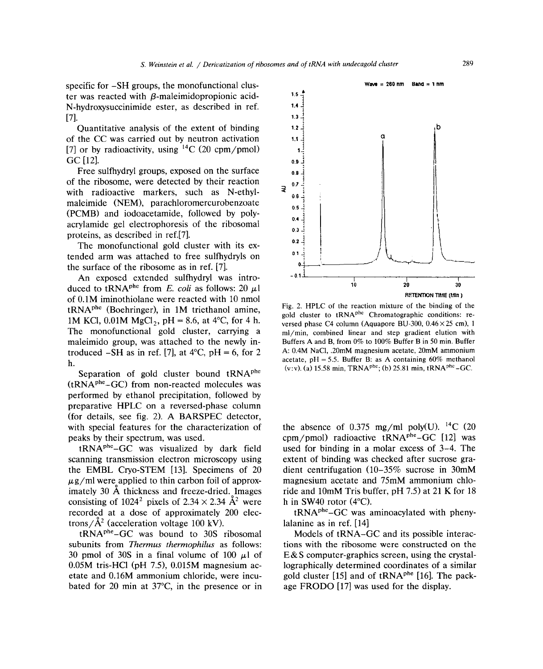ter was reacted with  $\beta$ -maleimidopropionic acid-N-hydroxysuccinimide ester, as described in ref. **1.4**  $[7]$ . **1.3**  $\frac{3}{4}$ 

Quantitative analysis of the extent of binding **1.21 b 1.21 b 1.21 b 1.21 b 1.21 b 1.21 b 1.21 b 1.21 c 1.21 c 1.21 c 1.21 c 1.21 c 1.21 c 1.21 c 1.21 c 1.21 c** of the CC was carried out by neutron activation  $\qquad \qquad$  1.1 [7] or by radioactivity, using  $^{14}$ C (20 cpm/pmol) GC [12]. **0.9** 

Free sulfhydryl groups, exposed on the surface  $_{0.8}$ of the ribosome, were detected by their reaction  $\frac{1}{3}$  0. with radioactive markers, such as N-ethylmaleimide (NEM), parachloromercurobenzoate **<sup>05</sup>** (PCMB) and iodoacetamide, followed by poly- $_{0.4}$ acrylamide gel electrophoresis of the ribosomal

The monofunctional gold cluster with its  $ex-$  ... The monofunctional gold cluster with its ex-<br>  $\begin{array}{ccc} 0.1 & 0.1 \\ 0.1 & 0.1 \end{array}$ tended arm was attached to free sulfhydryls on **<sup>01</sup>** ~ ~, .1 1~ the surface of the ribosome as in ref. [7].<br>An exposed extended sulfhydryl was intro-

An exposed extended sulthydryl was intro- **<sup>01</sup>** <sup>I</sup> duced to tRNAp'~from *E. coli* as follows: 20 ~l **<sup>10</sup> <sup>20</sup> <sup>30</sup>** of 0.1M iminothiolane were reacted with 10 nmol  $tRNA<sup>phe</sup>$  (Boehringer), in 1M triethanol amine, tRNA<sup>+</sup> (Boehringer), in 1M triethanol amine, Fig. 2. Hotel conditions in 1M KCl, 0.01M MgCl<sub>2</sub>, pH = 8.6, at 4<sup>o</sup>C, for 4 h. Fig. 2. Hotel channon mixture of the binding of the gold cluster to tRNA<sup>phe</sup> Chromatographic c 1M KCI, 0.01M MgCl<sub>2</sub>, pH = 8.0, at 4 C, for 4 h. versed phase C4 column (Aquapore BU-300, 0.46×25 cm), 1<br>The monofunctional gold cluster, carrying a ml/min, combined linear and step gradient elution with The monofunctional gold cluster, carrying a  $\frac{m}{min}$ , combined linear and step gradient elution with male imide group, was attached to the newly in-<br>Buffers A and B, from 0% to 100% Buffer B in 50 min. Buffer troduced  $-SH$  as in ref. [7], at 4°C, pH = 6, for 2 A: 0.4M NaCl, .20mM magnesium acetate, 20mM ammonium troduced  $\frac{1}{\sqrt{2}}$  as in ref. [71,404 × C,pH = 6, for 2 A: 0.4 M acetate, pH = 5.5. Buffer B: as A containing 60% methanol h.

Separation of gold cluster bound tRNA<sup>phe</sup>  $(tRNA<sup>phe</sup>-GC)$  from non-reacted molecules was performed by ethanol precipitation, followed by preparative HPLC on a reversed-phase column (for details, see fig. 2). A BARSPEC detector, with special features for the characterization of peaks by their spectrum, was used.

scanning transmission electron microscopy using extent of binding was checked after sucrose grathe EMBL Cryo-STEM [131. Specimens of 20 dient centrifugation (10—35% sucrose in 30mM  $\mu$ g/ml were applied to thin carbon foil of approx- $\mu$ g/ml were applied to thin carbon foil of approx-<br>imately 30 Å thickness and freeze-dried. Images ride and 10mM Tris buffer, pH 7.5) at 21 K for 18 consisting of 1024<sup>2</sup> pixels of 2.34  $\times$  2.34 Å<sup>2</sup> were consisting of 1024<sup>-</sup> pixels of 2.34 x 2.34 A<sup>-</sup> were and in SW40 fotor (4 C).<br>recorded at a dose of approximately 200 elec- tRNA<sup>phe</sup> GC was aminoacylated with phenyrecorded at a dose of approximately 200 elec-<br>trons/ $\hat{A}^2$  (acceleration voltage 100 kV). lalanine as in ref. [14]

tRNAphe\_GC was bound to 30S ribosomal Models of tRNA—GC and its possible interacsubunits from *Thermus thermophilus* as follows: tions with the ribosome were constructed on the 30 pmol of 30S in a final volume of 100  $\mu$ l of E&S computer-graphics screen, using the crystal-0.05M tris-HCl (pH 7.5), 0.015M magnesium ac-<br>etate and 0.16M ammonium chloride, were incu-<br>gold cluster [15] and of tRNA<sup>phe</sup> [16]. The packbated for 20 min at 37 $^{\circ}$ C, in the presence or in age FRODO [17] was used for the display.



(v:v). (a) 15.58 min, TRNA<sup>phe</sup>; (b) 25.81 min, tRNA<sup>phe</sup>-GC.

the absence of 0.375 mg/ml poly(U). <sup>14</sup>C (20 cpm/pmol) radioactive  $tRNA^{phe}-GC$  [12] was tRNAphe\_GC was visualized by dark field used for binding in a molar excess of 3—4. The h in SW40 rotor  $(4^{\circ}C)$ .

lographically determined coordinates of a similar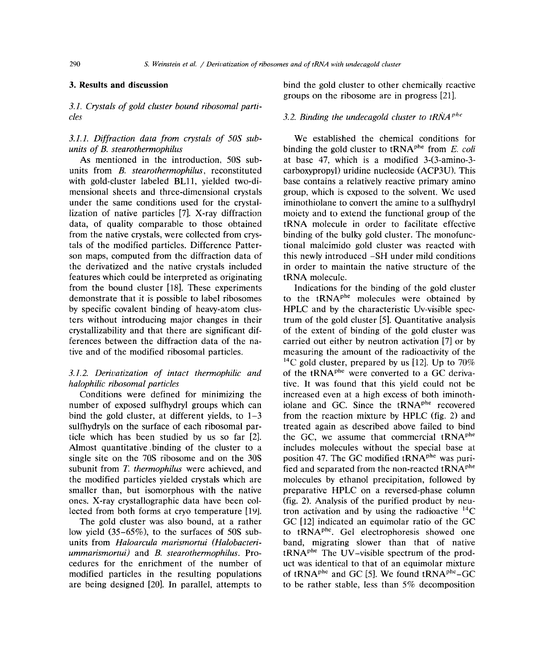*3.1. Crystals of gold cluster bound ribosomal particles 3.2. Binding the undecagold cluster to tRNA* **<sup>~</sup>**

units from *B. stearothermophilus,* reconstituted carboxypropyl) uridine nucleoside (ACP3U). This with gold-cluster labeled BL11, yielded two-di-<br>base contains a relatively reactive primary amino mensional sheets and three-dimensional crystals group, which is exposed to the solvent. We used under the same conditions used for the crystal- iminothiolane to convert the amine to a sulfhydryl lization of native particles [7]. X-ray diffraction moiety and to extend the functional group of the data, of quality comparable to those obtained tRNA molecule in order to facilitate effective from the native crystals, were collected from crys- binding of the bulky gold cluster. The monofunctals of the modified particles. Difference Patter- tional maleimido gold cluster was reacted with son maps, computed from the diffraction data of this newly introduced –SH under mild conditions the derivatized and the native crystals included in order to maintain the native structure of the features which could be interpreted as originating tRNA molecule. from the bound cluster [18]. These experiments Indications for the binding of the gold cluster demonstrate that it is possible to label ribosomes to the  $tRNA<sup>phe</sup>$  molecules were obtained by by specific covalent binding of heavy-atom clus- HPLC and by the characteristic Uv-visible specters without introducing major changes in their trum of the gold cluster [5]. Quantitative analysis crystallizability and that there are significant dif- of the extent of binding of the gold cluster was ferences between the diffraction data of the na- carried out either by neutron activation [7] or by tive and of the modified ribosomal particles, measuring the amount of the radioactivity of the

# *halophilic ribosomal particles* tive. It was found that this yield could not be

number of exposed sulfhydryl groups which can number of exposed sulfhydryl groups which can iolane and GC. Since the  $tRNA^{phe}$  recovered bind the gold cluster, at different yields, to  $1-3$  from the reaction mixture by HPLC (fig. 2) and sulfhydryls on the surface of each ribosomal par- treated again as described above failed to bind ticle which has been studied by us so far  $[2]$ . the GC, we assume that commercial  $tRNA<sup>phe</sup>$ Almost quantitative .binding of the cluster to a includes molecules without the special base at single site on the 70S ribosome and on the  $30S$  position 47. The GC modified tRNA<sup>phe</sup> was purisubunit from *T. thermophilus* were achieved, and fied and separated from the non-reacted  $tRNA<sup>phe</sup>$ the modified particles yielded crystals which are molecules by ethanol precipitation, followed by smaller than, but isomorphous with the native preparative HPLC on a reversed-phase column ones. X-ray crystallographic data have been col- (fig. 2). Analysis of the purified product by neulected from both forms at cryo temperature [19]. tron activation and by using the radioactive  $^{14}C$ 

low yield (35–65%), to the surfaces of 50S sub-<br>to tRNA<sup>phe</sup>. Gel electrophoresis showed one units from *Haloarcula marismortui (Halobacteri-* band, migrating slower than that of native ummarismortui) and B. stearothermophilus. Pro-<br>cedures for the enrichment of the number of modified particles in the resulting populations of tRNA<sup>phe</sup> and GC [5]. We found tRNA<sup>phe</sup>-GC are being designed [20]. In parallel, attempts to to be rather stable, less than 5% decomposition

3. Results and discussion bind the gold cluster to other chemically reactive groups on the ribosome are in progress [21].

*3.1.1. Diffraction data from crystals of 50S sub-* We established the chemical conditions for *units* of *B. stearothermophilus* binding the gold cluster to tRNA<sup>phe</sup> from *E. coli* As mentioned in the introduction, 50S sub- at base 47, which is a modified 3-(3-amino-3-

<sup>14</sup>C gold cluster, prepared by us [12]. Up to  $70\%$ *3.1.2. Derivatization of intact thermophilic and* of the **tRNAP6e** were converted to a GC deriva-Conditions were defined for minimizing the increased even at a high excess of both iminoth-The gold cluster was also bound, at a rather GC [12] indicated an equimolar ratio of the GC *ummarismortum* of the product was identical to that of an equimolar mixture<br>of  $tRNA<sup>phe</sup>$  and GC [5]. We found  $tRNA<sup>phe</sup>-GC$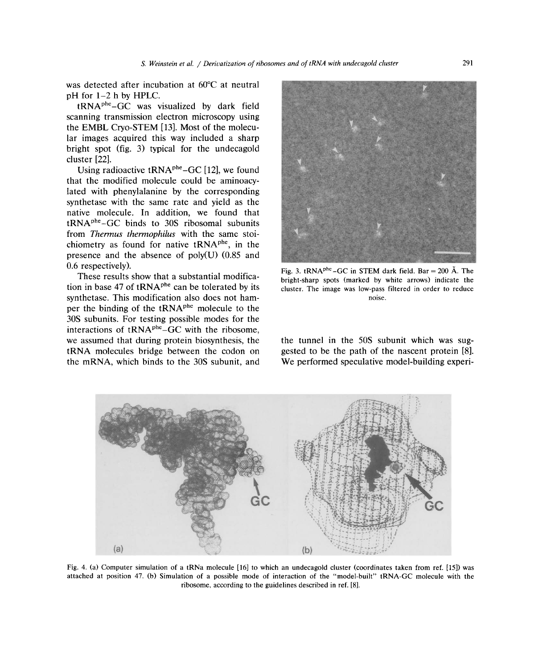was detected after incubation at  $60^{\circ}$ C at neutral pH for 1—2 h by HPLC.

tRNAphe\_GC was visualized by dark field scanning transmission electron microscopy using the EMBL Cryo-STEM [13]. Most of the molecular images acquired this way included a sharp bright spot (fig. 3) typical for the undecagold cluster [22].

Using radioactive  $tRNA^{phe}-GC$  [12], we found that the modified molecule could be aminoacylated with phenylalanine by the corresponding synthetase with the same rate and yield as the native molecule. In addition, we found that  $tRNA<sup>phe</sup>-GC$  binds to 30S ribosomal subunits from *Thermus thermophilus* with the same stoichiometry as found for native  $tRNA<sup>phe</sup>$ , in the presence and the absence of poly(U) *(0.85* and 0.6 respectively). . . . . . . . . . . . . Fig. 3.  $tRNA^{phc}-GC$  in STEM dark field. Bar = 200 Å. The

tion in base 47 of tRNA<sup>phe</sup> can be tolerated by its cluster. The image was low-pass filtered in order to reduce synthetase. This modification also does not hamper the binding of the  $tRNA<sup>phe</sup>$  molecule to the 30S subunits. For testing possible modes for the interactions of tRNAPhe\_GC with the ribosome, we assumed that during protein biosynthesis, the the tunnel in the 50S subunit which was sugtRNA molecules bridge between the codon on gested to be the path of the nascent protein [81. the mRNA, which binds to the 30S subunit, and We performed speculative model-building experi-



These results show that a substantial modifica-<br>bright-sharp spots (marked by white arrows) indicate the



Fig. 4. (a) Computer simulation of a tRNa molecule [16] to which an undecagold cluster (coordinates taken from ref. [15]) was attached at position 47. (b) Simulation of a possible mode of interaction of the "model-built" tRNA-GC molecule with the ribosome, according to the guidelines described in ref. [8].